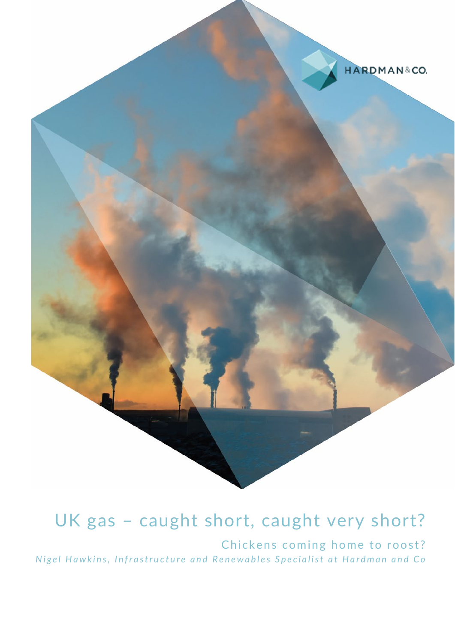

# UK gas – caught short, caught very short?

Chickens coming home to roost? *Nigel Hawkins, Infrastructure and Renewables Specialist at Hardman and Co*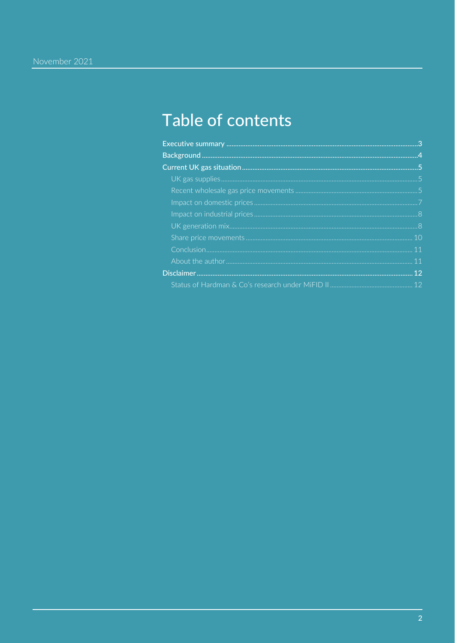## Table of contents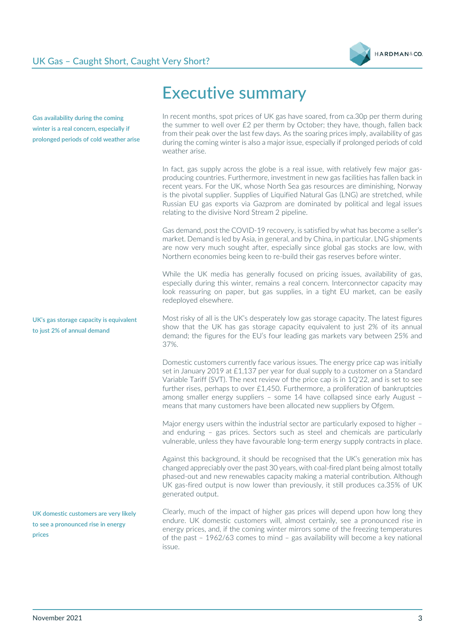

**Gas availability during the coming winter is a real concern, especially if prolonged periods of cold weather arise**

**UK's gas storage capacity is equivalent to just 2% of annual demand**

**UK domestic customers are very likely to see a pronounced rise in energy prices**

## <span id="page-2-0"></span>Executive summary

In recent months, spot prices of UK gas have soared, from ca.30p per therm during the summer to well over £2 per therm by October; they have, though, fallen back from their peak over the last few days. As the soaring prices imply, availability of gas during the coming winter is also a major issue, especially if prolonged periods of cold weather arise.

In fact, gas supply across the globe is a real issue, with relatively few major gasproducing countries. Furthermore, investment in new gas facilities has fallen back in recent years. For the UK, whose North Sea gas resources are diminishing, Norway is the pivotal supplier. Supplies of Liquified Natural Gas (LNG) are stretched, while Russian EU gas exports via Gazprom are dominated by political and legal issues relating to the divisive Nord Stream 2 pipeline.

Gas demand, post the COVID-19 recovery, is satisfied by what has become a seller's market. Demand is led by Asia, in general, and by China, in particular. LNG shipments are now very much sought after, especially since global gas stocks are low, with Northern economies being keen to re-build their gas reserves before winter.

While the UK media has generally focused on pricing issues, availability of gas, especially during this winter, remains a real concern. Interconnector capacity may look reassuring on paper, but gas supplies, in a tight EU market, can be easily redeployed elsewhere.

Most risky of all is the UK's desperately low gas storage capacity. The latest figures show that the UK has gas storage capacity equivalent to just 2% of its annual demand; the figures for the EU's four leading gas markets vary between 25% and 37%.

Domestic customers currently face various issues. The energy price cap was initially set in January 2019 at £1,137 per year for dual supply to a customer on a Standard Variable Tariff (SVT). The next review of the price cap is in 1Q'22, and is set to see further rises, perhaps to over £1,450. Furthermore, a proliferation of bankruptcies among smaller energy suppliers – some 14 have collapsed since early August – means that many customers have been allocated new suppliers by Ofgem.

Major energy users within the industrial sector are particularly exposed to higher – and enduring – gas prices. Sectors such as steel and chemicals are particularly vulnerable, unless they have favourable long-term energy supply contracts in place.

Against this background, it should be recognised that the UK's generation mix has changed appreciably over the past 30 years, with coal-fired plant being almost totally phased-out and new renewables capacity making a material contribution. Although UK gas-fired output is now lower than previously, it still produces ca.35% of UK generated output.

Clearly, much of the impact of higher gas prices will depend upon how long they endure. UK domestic customers will, almost certainly, see a pronounced rise in energy prices, and, if the coming winter mirrors some of the freezing temperatures of the past – 1962/63 comes to mind – gas availability will become a key national issue.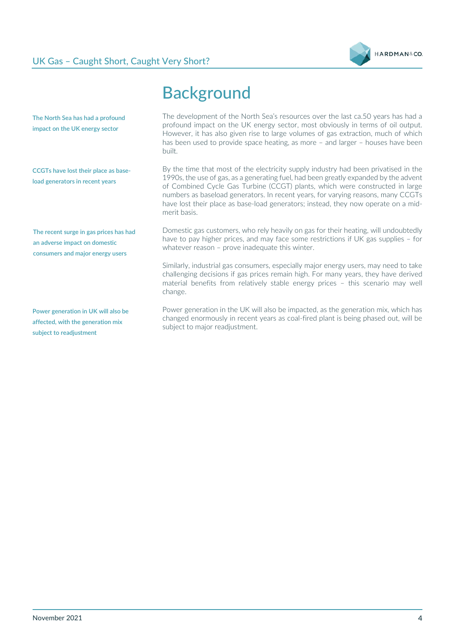

<span id="page-3-0"></span>

|                                                                                                             | <b>Background</b>                                                                                                                                                                                                                                                                                                                                                                                                                                     |
|-------------------------------------------------------------------------------------------------------------|-------------------------------------------------------------------------------------------------------------------------------------------------------------------------------------------------------------------------------------------------------------------------------------------------------------------------------------------------------------------------------------------------------------------------------------------------------|
| The North Sea has had a profound<br>impact on the UK energy sector                                          | The development of the North Sea's resources over the last ca.50 years has had a<br>profound impact on the UK energy sector, most obviously in terms of oil output.<br>However, it has also given rise to large volumes of gas extraction, much of which<br>has been used to provide space heating, as more - and larger - houses have been<br>built.                                                                                                 |
| CCGTs have lost their place as base-<br>load generators in recent years                                     | By the time that most of the electricity supply industry had been privatised in the<br>1990s, the use of gas, as a generating fuel, had been greatly expanded by the advent<br>of Combined Cycle Gas Turbine (CCGT) plants, which were constructed in large<br>numbers as baseload generators. In recent years, for varying reasons, many CCGTs<br>have lost their place as base-load generators; instead, they now operate on a mid-<br>merit basis. |
| The recent surge in gas prices has had<br>an adverse impact on domestic<br>consumers and major energy users | Domestic gas customers, who rely heavily on gas for their heating, will undoubtedly<br>have to pay higher prices, and may face some restrictions if UK gas supplies - for<br>whatever reason $-$ prove inadequate this winter.                                                                                                                                                                                                                        |
|                                                                                                             | Similarly, industrial gas consumers, especially major energy users, may need to take<br>challenging decisions if gas prices remain high. For many years, they have derived<br>material benefits from relatively stable energy prices - this scenario may well<br>change.                                                                                                                                                                              |
|                                                                                                             | الممط وامتطبت يتنمس وبمنابصه ومصمرهم والرواحة المماجوون والمسالم والتبين كالبارسة والرابعة والمستورة والمستورة                                                                                                                                                                                                                                                                                                                                        |

**Power generation in UK will also be affected, with the generation mix subject to readjustment**

Power generation in the UK will also be impacted, as the generation mix, which has changed enormously in recent years as coal-fired plant is being phased out, will be subject to major readjustment.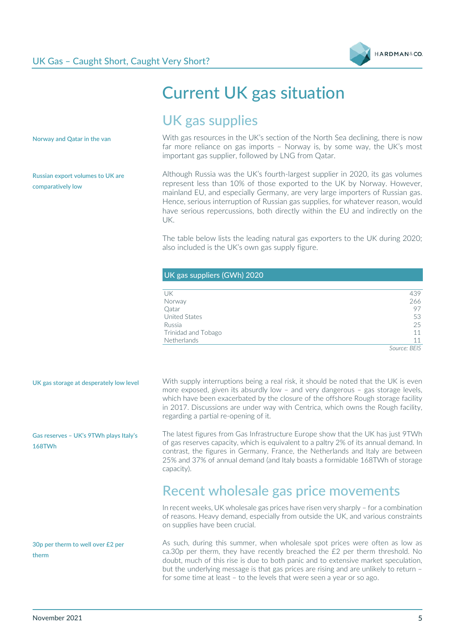

## <span id="page-4-0"></span>Current UK gas situation

## <span id="page-4-1"></span>UK gas supplies

**Norway and Qatar in the van**

**Russian export volumes to UK are comparatively low**

With gas resources in the UK's section of the North Sea declining, there is now far more reliance on gas imports – Norway is, by some way, the UK's most important gas supplier, followed by LNG from Qatar.

Although Russia was the UK's fourth-largest supplier in 2020, its gas volumes represent less than 10% of those exported to the UK by Norway. However, mainland EU, and especially Germany, are very large importers of Russian gas. Hence, serious interruption of Russian gas supplies, for whatever reason, would have serious repercussions, both directly within the EU and indirectly on the UK.

The table below lists the leading natural gas exporters to the UK during 2020; also included is the UK's own gas supply figure.

| UK gas suppliers (GWh) 2020 |                |  |
|-----------------------------|----------------|--|
|                             |                |  |
| UK                          | 439            |  |
| Norway                      | 266            |  |
| Qatar                       | 97             |  |
| <b>United States</b>        | 53             |  |
| Russia                      | 25             |  |
| Trinidad and Tobago         | 11             |  |
| <b>Netherlands</b>          | 11             |  |
|                             | ----<br>$\sim$ |  |

*Source: BEIS*

**UK gas storage at desperately low level** 

**Gas reserves – UK's 9TWh plays Italy's 168TWh**

**30p per therm to well over £2 per therm**

With supply interruptions being a real risk, it should be noted that the UK is even more exposed, given its absurdly low – and very dangerous – gas storage levels, which have been exacerbated by the closure of the offshore Rough storage facility in 2017. Discussions are under way with Centrica, which owns the Rough facility, regarding a partial re-opening of it.

The latest figures from Gas Infrastructure Europe show that the UK has just 9TWh of gas reserves capacity, which is equivalent to a paltry 2% of its annual demand. In contrast, the figures in Germany, France, the Netherlands and Italy are between 25% and 37% of annual demand (and Italy boasts a formidable 168TWh of storage capacity).

#### <span id="page-4-2"></span>Recent wholesale gas price movements

In recent weeks, UK wholesale gas prices have risen very sharply – for a combination of reasons. Heavy demand, especially from outside the UK, and various constraints on supplies have been crucial.

As such, during this summer, when wholesale spot prices were often as low as ca.30p per therm, they have recently breached the £2 per therm threshold. No doubt, much of this rise is due to both panic and to extensive market speculation, but the underlying message is that gas prices are rising and are unlikely to return – for some time at least – to the levels that were seen a year or so ago.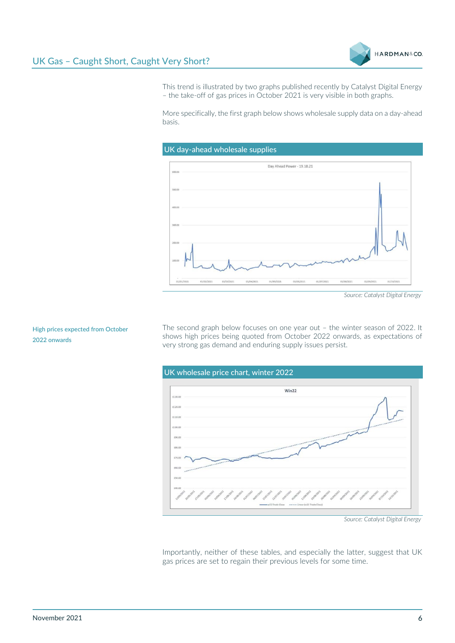

This trend is illustrated by two graphs published recently by Catalyst Digital Energy – the take-off of gas prices in October 2021 is very visible in both graphs.

More specifically, the first graph below shows wholesale supply data on a day-ahead basis.



*Source: Catalyst Digital Energy*

The second graph below focuses on one year out – the winter season of 2022. It shows high prices being quoted from October 2022 onwards, as expectations of very strong gas demand and enduring supply issues persist.



*Source: Catalyst Digital Energy*

Importantly, neither of these tables, and especially the latter, suggest that UK gas prices are set to regain their previous levels for some time.

#### **High prices expected from October 2022 onwards**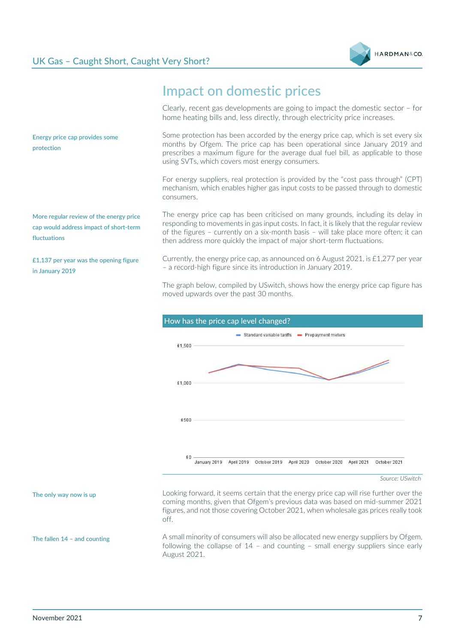



#### <span id="page-6-0"></span>Impact on domestic prices

Clearly, recent gas developments are going to impact the domestic sector – for home heating bills and, less directly, through electricity price increases.

Some protection has been accorded by the energy price cap, which is set every six months by Ofgem. The price cap has been operational since January 2019 and prescribes a maximum figure for the average dual fuel bill, as applicable to those using SVTs, which covers most energy consumers.

For energy suppliers, real protection is provided by the "cost pass through" (CPT) mechanism, which enables higher gas input costs to be passed through to domestic consumers.

The energy price cap has been criticised on many grounds, including its delay in responding to movements in gas input costs. In fact, it is likely that the regular review of the figures – currently on a six-month basis – will take place more often; it can then address more quickly the impact of major short-term fluctuations.

Currently, the energy price cap, as announced on 6 August 2021, is £1,277 per year – a record-high figure since its introduction in January 2019.

The graph below, compiled by USwitch, shows how the energy price cap figure has moved upwards over the past 30 months.



Looking forward, it seems certain that the energy price cap will rise further over the coming months, given that Ofgem's previous data was based on mid-summer 2021 figures, and not those covering October 2021, when wholesale gas prices really took off.

A small minority of consumers will also be allocated new energy suppliers by Ofgem, following the collapse of 14 – and counting – small energy suppliers since early August 2021.

**More regular review of the energy price cap would address impact of short-term fluctuations** 

**Energy price cap provides some** 

**protection**

**£1,137 per year was the opening figure in January 2019** 

**The only way now is up** 

**The fallen 14 – and counting**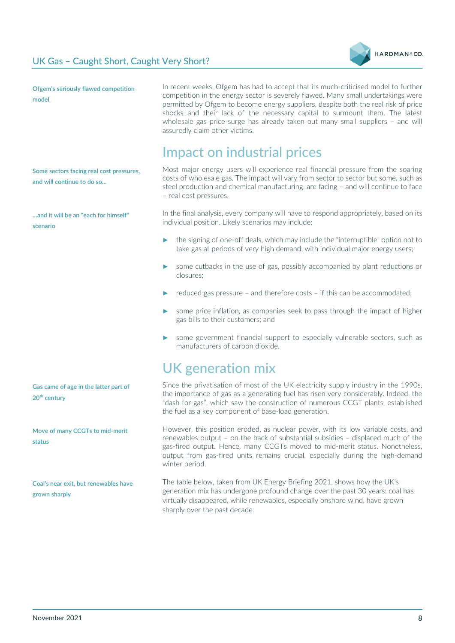

**Ofgem's seriously flawed competition model** 

In recent weeks, Ofgem has had to accept that its much-criticised model to further competition in the energy sector is severely flawed. Many small undertakings were permitted by Ofgem to become energy suppliers, despite both the real risk of price shocks and their lack of the necessary capital to surmount them. The latest wholesale gas price surge has already taken out many small suppliers – and will assuredly claim other victims.

### <span id="page-7-0"></span>Impact on industrial prices

Most major energy users will experience real financial pressure from the soaring costs of wholesale gas. The impact will vary from sector to sector but some, such as steel production and chemical manufacturing, are facing – and will continue to face – real cost pressures.

In the final analysis, every company will have to respond appropriately, based on its individual position. Likely scenarios may include:

- the signing of one-off deals, which may include the "interruptible" option not to take gas at periods of very high demand, with individual major energy users;
- some cutbacks in the use of gas, possibly accompanied by plant reductions or closures;
- reduced gas pressure and therefore costs if this can be accommodated:
- some price inflation, as companies seek to pass through the impact of higher gas bills to their customers; and
- some government financial support to especially vulnerable sectors, such as manufacturers of carbon dioxide.

## <span id="page-7-1"></span>UK generation mix

Since the privatisation of most of the UK electricity supply industry in the 1990s, the importance of gas as a generating fuel has risen very considerably. Indeed, the "dash for gas", which saw the construction of numerous CCGT plants, established the fuel as a key component of base-load generation.

However, this position eroded, as nuclear power, with its low variable costs, and renewables output – on the back of substantial subsidies – displaced much of the gas-fired output. Hence, many CCGTs moved to mid-merit status. Nonetheless, output from gas-fired units remains crucial, especially during the high-demand winter period.

The table below, taken from UK Energy Briefing 2021, shows how the UK's generation mix has undergone profound change over the past 30 years: coal has virtually disappeared, while renewables, especially onshore wind, have grown sharply over the past decade.

**Some sectors facing real cost pressures, and will continue to do so…**

**…and it will be an "each for himself" scenario**

**Gas came of age in the latter part of 20th century** 

**Move of many CCGTs to mid-merit status** 

**Coal's near exit, but renewables have grown sharply**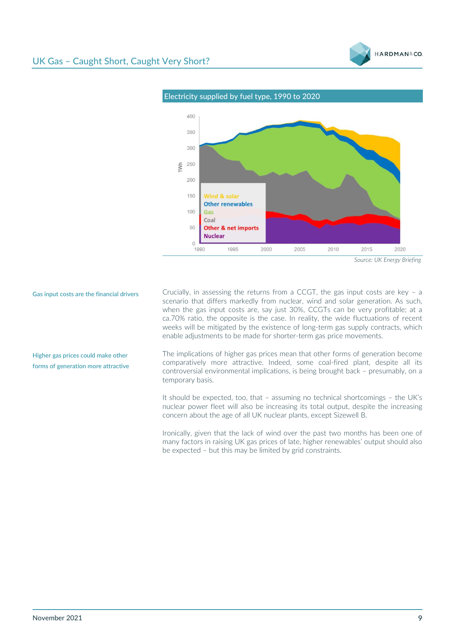



**Gas input costs are the financial drivers** 

**Higher gas prices could make other forms of generation more attractive**  Crucially, in assessing the returns from a CCGT, the gas input costs are key – a scenario that differs markedly from nuclear, wind and solar generation. As such, when the gas input costs are, say just 30%, CCGTs can be very profitable; at a ca.70% ratio, the opposite is the case. In reality, the wide fluctuations of recent weeks will be mitigated by the existence of long-term gas supply contracts, which enable adjustments to be made for shorter-term gas price movements.

The implications of higher gas prices mean that other forms of generation become comparatively more attractive. Indeed, some coal-fired plant, despite all its controversial environmental implications, is being brought back – presumably, on a temporary basis.

It should be expected, too, that – assuming no technical shortcomings – the UK's nuclear power fleet will also be increasing its total output, despite the increasing concern about the age of all UK nuclear plants, except Sizewell B.

Ironically, given that the lack of wind over the past two months has been one of many factors in raising UK gas prices of late, higher renewables' output should also be expected – but this may be limited by grid constraints.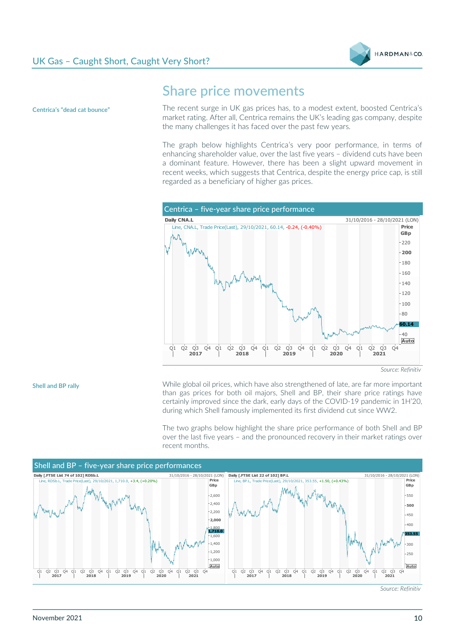



**Centrica's "dead cat bounce"** 

#### <span id="page-9-0"></span>Share price movements

The recent surge in UK gas prices has, to a modest extent, boosted Centrica's market rating. After all, Centrica remains the UK's leading gas company, despite the many challenges it has faced over the past few years.

The graph below highlights Centrica's very poor performance, in terms of enhancing shareholder value, over the last five years – dividend cuts have been a dominant feature. However, there has been a slight upward movement in recent weeks, which suggests that Centrica, despite the energy price cap, is still regarded as a beneficiary of higher gas prices.



**Shell and BP rally**

While global oil prices, which have also strengthened of late, are far more important than gas prices for both oil majors, Shell and BP, their share price ratings have certainly improved since the dark, early days of the COVID-19 pandemic in 1H'20, during which Shell famously implemented its first dividend cut since WW2.

The two graphs below highlight the share price performance of both Shell and BP over the last five years – and the pronounced recovery in their market ratings over recent months.



*Source: Refinitiv*

*Source: Refinitiv*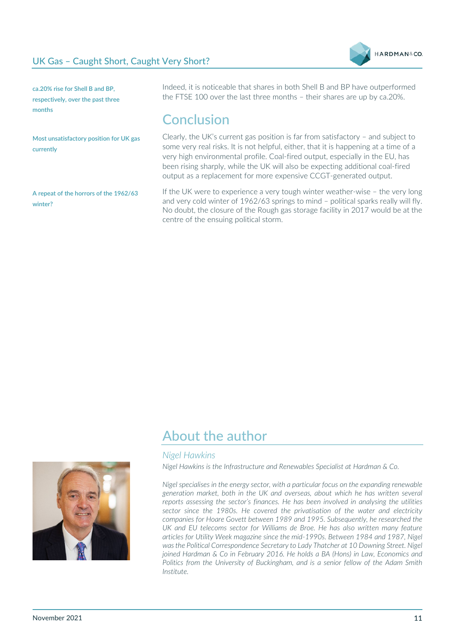

**ca.20% rise for Shell B and BP, respectively, over the past three months** 

**Most unsatisfactory position for UK gas currently**

**A repeat of the horrors of the 1962/63 winter?** 

Indeed, it is noticeable that shares in both Shell B and BP have outperformed the FTSE 100 over the last three months – their shares are up by ca.20%.

#### <span id="page-10-0"></span>Conclusion

Clearly, the UK's current gas position is far from satisfactory – and subject to some very real risks. It is not helpful, either, that it is happening at a time of a very high environmental profile. Coal-fired output, especially in the EU, has been rising sharply, while the UK will also be expecting additional coal-fired output as a replacement for more expensive CCGT-generated output.

If the UK were to experience a very tough winter weather-wise – the very long and very cold winter of 1962/63 springs to mind – political sparks really will fly. No doubt, the closure of the Rough gas storage facility in 2017 would be at the centre of the ensuing political storm.

#### <span id="page-10-1"></span>About the author

#### *Nigel Hawkins*

*Nigel Hawkins is the Infrastructure and Renewables Specialist at Hardman & Co.*

*Nigel specialises in the energy sector, with a particular focus on the expanding renewable generation market, both in the UK and overseas, about which he has written several reports assessing the sector's finances. He has been involved in analysing the utilities sector since the 1980s. He covered the privatisation of the water and electricity companies for Hoare Govett between 1989 and 1995. Subsequently, he researched the*  UK and EU telecoms sector for Williams de Broe. He has also written many feature *articles for Utility Week magazine since the mid-1990s. Between 1984 and 1987, Nigel was the Political Correspondence Secretary to Lady Thatcher at 10 Downing Street. Nigel joined Hardman & Co in February 2016. He holds a BA (Hons) in Law, Economics and Politics from the University of Buckingham, and is a senior fellow of the Adam Smith Institute.*

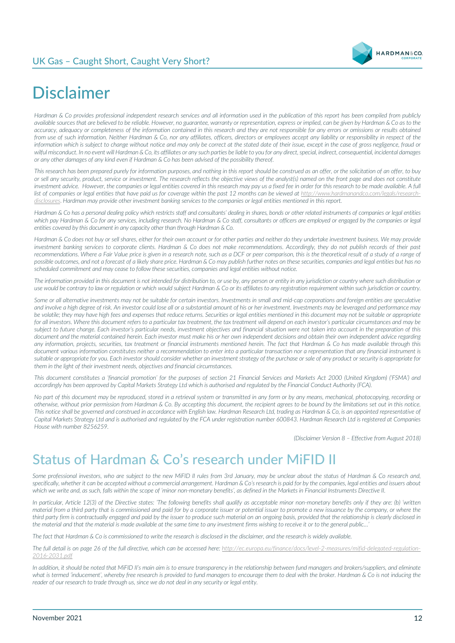

# <span id="page-11-0"></span>Disclaimer

*Hardman & Co provides professional independent research services and all information used in the publication of this report has been compiled from publicly available sources that are believed to be reliable. However, no guarantee, warranty or representation, express or implied, can be given by Hardman & Co as to the accuracy, adequacy or completeness of the information contained in this research and they are not responsible for any errors or omissions or results obtained from use of such information. Neither Hardman & Co, nor any affiliates, officers, directors or employees accept any liability or responsibility in respect of the information which is subject to change without notice and may only be correct at the stated date of their issue, except in the case of gross negligence, fraud or wilful misconduct. In no event will Hardman & Co, its affiliates or any such parties be liable to you for any direct, special, indirect, consequential, incidental damages or any other damages of any kind even if Hardman & Co has been advised of the possibility thereof.* 

*This research has been prepared purely for information purposes, and nothing in this report should be construed as an offer, or the solicitation of an offer, to buy or sell any security, product, service or investment. The research reflects the objective views of the analyst(s) named on the front page and does not constitute investment advice. However, the companies or legal entities covered in this research may pay us a fixed fee in order for this research to be made available. A full* list of companies or legal entities that have paid us for coverage within the past 12 months can be viewed at [http://www.hardmanandco.com/legals/research](about:blank)*[disclosures](about:blank)*. *Hardman may provide other investment banking services to the companies or legal entities mentioned in this report.*

*Hardman & Co has a personal dealing policy which restricts staff and consultants' dealing in shares, bonds or other related instruments of companies or legal entities*  which pay Hardman & Co for any services, including research. No Hardman & Co staff, consultants or officers are employed or engaged by the companies or legal *entities covered by this document in any capacity other than through Hardman & Co.* 

*Hardman & Co does not buy or sell shares, either for their own account or for other parties and neither do they undertake investment business. We may provide investment banking services to corporate clients. Hardman & Co does not make recommendations. Accordingly, they do not publish records of their past recommendations. Where a Fair Value price is given in a research note, such as a DCF or peer comparison, this is the theoretical result of a study of a range of possible outcomes, and not a forecast of a likely share price. Hardman & Co may publish further notes on these securities, companies and legal entities but has no scheduled commitment and may cease to follow these securities, companies and legal entities without notice.*

*The information provided in this document is not intended for distribution to, or use by, any person or entity in any jurisdiction or country where such distribution or use would be contrary to law or regulation or which would subject Hardman & Co or its affiliates to any registration requirement within such jurisdiction or country.*

Some or all alternative investments may not be suitable for certain investors. Investments in small and mid-cap corporations and foreign entities are speculative *and involve a high degree of risk. An investor could lose all or a substantial amount of his or her investment. Investments may be leveraged and performance may be volatile; they may have high fees and expenses that reduce returns. Securities or legal entities mentioned in this document may not be suitable or appropriate for all investors. Where this document refers to a particular tax treatment, the tax treatment will depend on each investor's particular circumstances and may be*  subject to future change. Each investor's particular needs, investment objectives and financial situation were not taken into account in the preparation of this *document and the material contained herein. Each investor must make his or her own independent decisions and obtain their own independent advice regarding any information, projects, securities, tax treatment or financial instruments mentioned herein. The fact that Hardman & Co has made available through this document various information constitutes neither a recommendation to enter into a particular transaction nor a representation that any financial instrument is*  suitable or appropriate for you. Each investor should consider whether an investment strategy of the purchase or sale of any product or security is appropriate for *them in the light of their investment needs, objectives and financial circumstances.* 

*This document constitutes a 'financial promotion' for the purposes of section 21 Financial Services and Markets Act 2000 (United Kingdom) ('FSMA') and accordingly has been approved by Capital Markets Strategy Ltd which is authorised and regulated by the Financial Conduct Authority (FCA).* 

*No part of this document may be reproduced, stored in a retrieval system or transmitted in any form or by any means, mechanical, photocopying, recording or otherwise, without prior permission from Hardman & Co. By accepting this document, the recipient agrees to be bound by the limitations set out in this notice. This notice shall be governed and construed in accordance with English law. Hardman Research Ltd, trading as Hardman & Co, is an appointed representative of Capital Markets Strategy Ltd and is authorised and regulated by the FCA under registration number 600843. Hardman Research Ltd is registered at Companies House with number 8256259.*

*(Disclaimer Version 8 – Effective from August 2018)*

## <span id="page-11-1"></span>Status of Hardman & Co's research under MiFID II

*Some professional investors, who are subject to the new MiFID II rules from 3rd January, may be unclear about the status of Hardman & Co research and,*  specifically, whether it can be accepted without a commercial arrangement. Hardman & Co's research is paid for by the companies, legal entities and issuers about *which we write and, as such, falls within the scope of 'minor non-monetary benefits', as defined in the Markets in Financial Instruments Directive II.*

*In particular, Article 12(3) of the Directive states: 'The following benefits shall qualify as acceptable minor non-monetary benefits only if they are: (b) 'written material from a third party that is commissioned and paid for by a corporate issuer or potential issuer to promote a new issuance by the company, or where the third party firm is contractually engaged and paid by the issuer to produce such material on an ongoing basis, provided that the relationship is clearly disclosed in the material and that the material is made available at the same time to any investment firms wishing to receive it or to the general public…'*

*The fact that Hardman & Co is commissioned to write the research is disclosed in the disclaimer, and the research is widely available.*

*The full detail is on page 26 of the full directive, which can be accessed here: http://ec.europa.eu/finance/docs/level-2-measures/mifid-delegated-regulation-2016-2031.pdf*

In addition, it should be noted that MiFID II's main aim is to ensure transparency in the relationship between fund managers and brokers/suppliers, and eliminate what is termed 'inducement', whereby free research is provided to fund managers to encourage them to deal with the broker. Hardman & Co is not inducing the *reader of our research to trade through us, since we do not deal in any security or legal entity.*